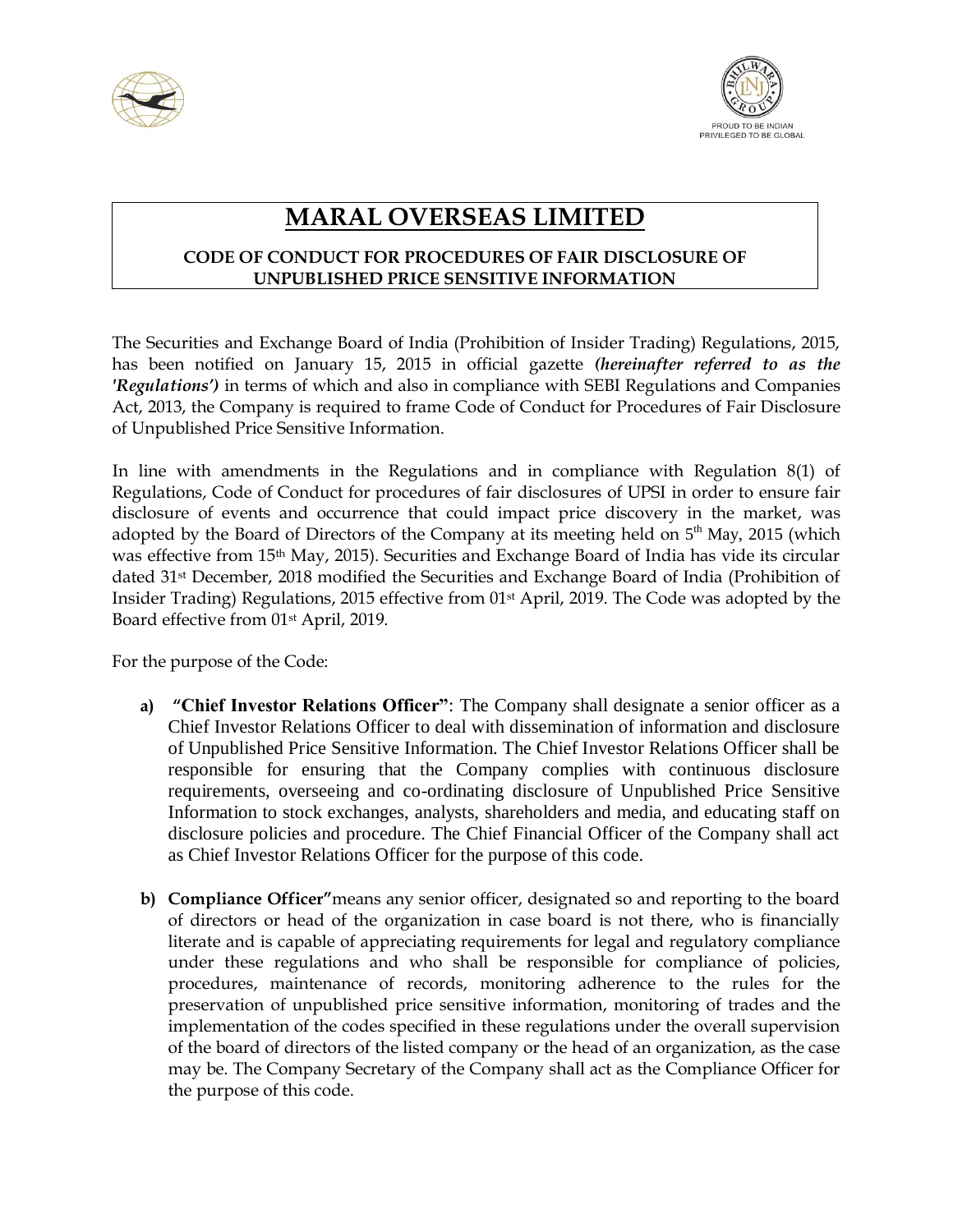



## **MARAL OVERSEAS LIMITED**

## **CODE OF CONDUCT FOR PROCEDURES OF FAIR DISCLOSURE OF UNPUBLISHED PRICE SENSITIVE INFORMATION**

The Securities and Exchange Board of India (Prohibition of Insider Trading) Regulations, 2015, has been notified on January 15, 2015 in official gazette *(hereinafter referred to as the 'Regulations')* in terms of which and also in compliance with SEBI Regulations and Companies Act, 2013, the Company is required to frame Code of Conduct for Procedures of Fair Disclosure of Unpublished Price Sensitive Information.

 In line with amendments in the Regulations and in compliance with Regulation 8(1) of Regulations, Code of Conduct for procedures of fair disclosures of UPSI in order to ensure fair disclosure of events and occurrence that could impact price discovery in the market, was adopted by the Board of Directors of the Company at its meeting held on  $5<sup>th</sup>$  May, 2015 (which was effective from 15th May, 2015). Securities and Exchange Board of India has vide its circular dated 31st December, 2018 modified the Securities and Exchange Board of India (Prohibition of Insider Trading) Regulations, 2015 effective from 01st April, 2019. The Code was adopted by the Board effective from 01<sup>st</sup> April, 2019.

For the purpose of the Code:

- **a) "Chief Investor Relations Officer"**: The Company shall designate a senior officer as a Chief Investor Relations Officer to deal with dissemination of information and disclosure of Unpublished Price Sensitive Information. The Chief Investor Relations Officer shall be responsible for ensuring that the Company complies with continuous disclosure requirements, overseeing and co-ordinating disclosure of Unpublished Price Sensitive Information to stock exchanges, analysts, shareholders and media, and educating staff on disclosure policies and procedure. The Chief Financial Officer of the Company shall act as Chief Investor Relations Officer for the purpose of this code.
- **b) Compliance Officer"**means any senior officer, designated so and reporting to the board of directors or head of the organization in case board is not there, who is financially literate and is capable of appreciating requirements for legal and regulatory compliance under these regulations and who shall be responsible for compliance of policies, procedures, maintenance of records, monitoring adherence to the rules for the preservation of unpublished price sensitive information, monitoring of trades and the implementation of the codes specified in these regulations under the overall supervision of the board of directors of the listed company or the head of an organization, as the case may be. The Company Secretary of the Company shall act as the Compliance Officer for the purpose of this code.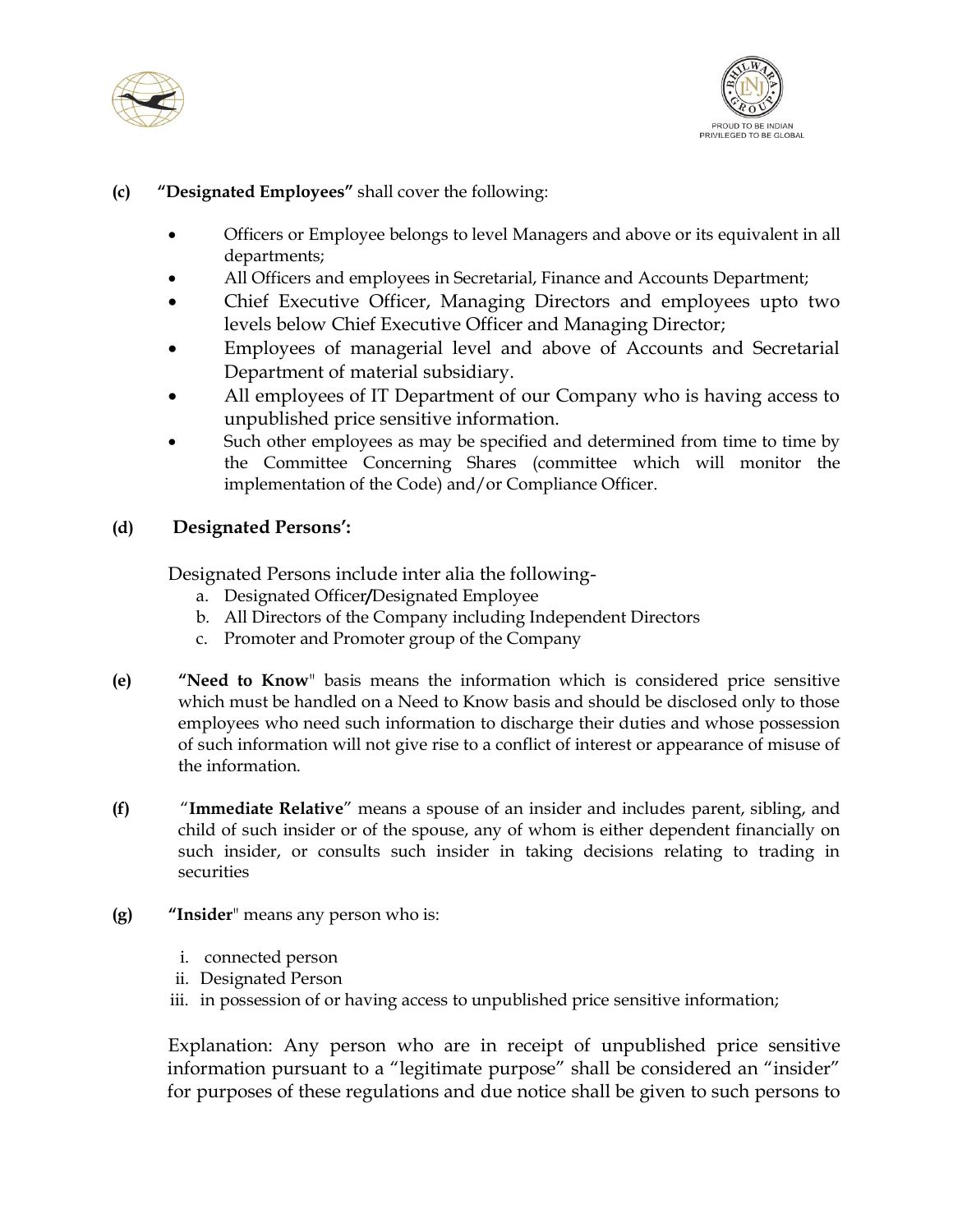



## **(c) "Designated Employees"** shall cover the following:

- Officers or Employee belongs to level Managers and above or its equivalent in all departments;
- All Officers and employees in Secretarial, Finance and Accounts Department;
- Chief Executive Officer, Managing Directors and employees upto two levels below Chief Executive Officer and Managing Director;
- Employees of managerial level and above of Accounts and Secretarial Department of material subsidiary.
- All employees of IT Department of our Company who is having access to unpublished price sensitive information.
- Such other employees as may be specified and determined from time to time by the Committee Concerning Shares (committee which will monitor the implementation of the Code) and/or Compliance Officer.

## **(d) Designated Persons':**

Designated Persons include inter alia the following-

- a. Designated Officer**/**Designated Employee
- b. All Directors of the Company including Independent Directors
- c. Promoter and Promoter group of the Company
- **(e) "Need to Know**" basis means the information which is considered price sensitive which must be handled on a Need to Know basis and should be disclosed only to those employees who need such information to discharge their duties and whose possession of such information will not give rise to a conflict of interest or appearance of misuse of the information.
- **(f)** "**Immediate Relative**" means a spouse of an insider and includes parent, sibling, and child of such insider or of the spouse, any of whom is either dependent financially on such insider, or consults such insider in taking decisions relating to trading in securities
- **(g) "Insider**" means any person who is:
	- i. connected person
	- ii. Designated Person
	- iii. in possession of or having access to unpublished price sensitive information;

Explanation: Any person who are in receipt of unpublished price sensitive information pursuant to a "legitimate purpose" shall be considered an "insider" for purposes of these regulations and due notice shall be given to such persons to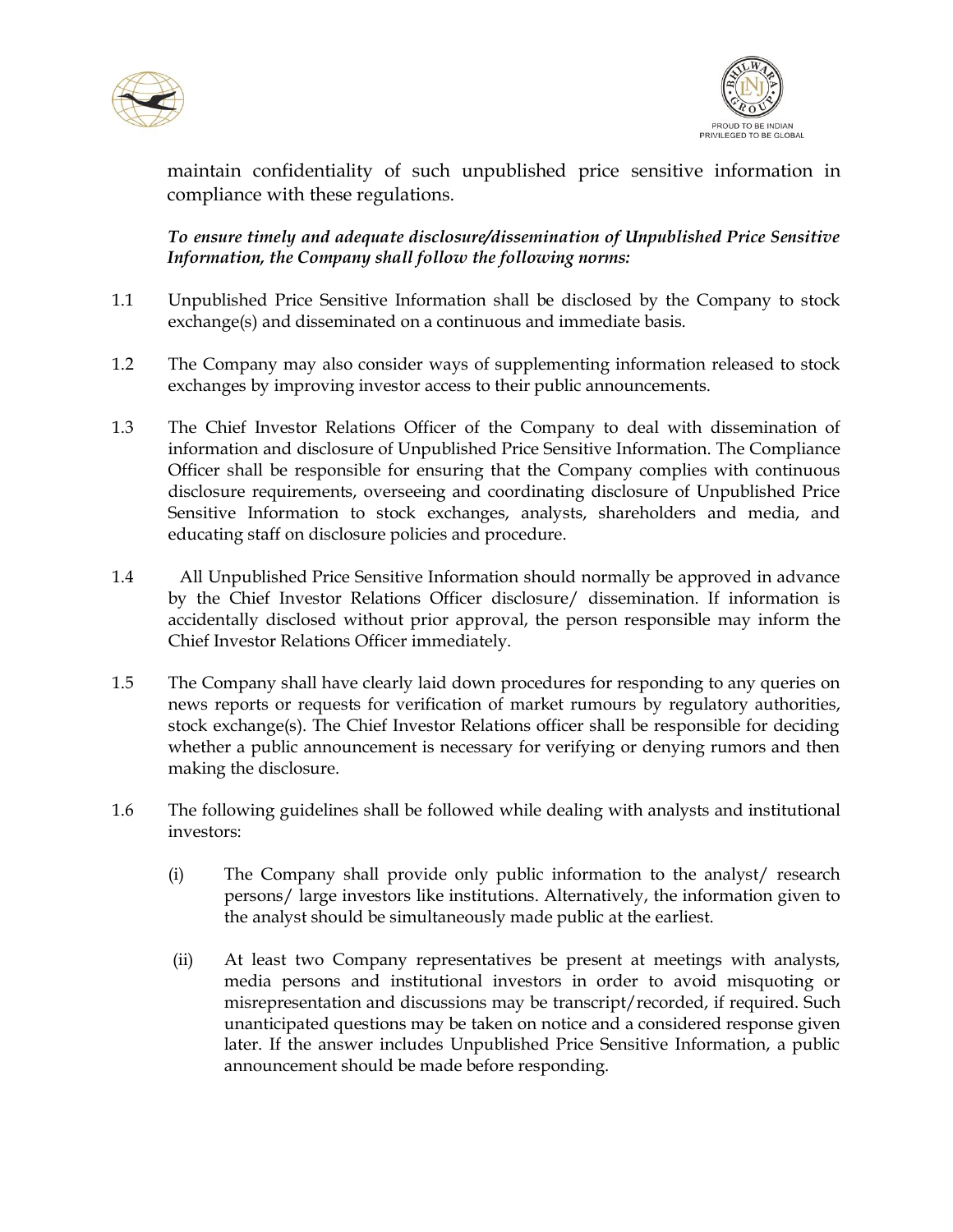



maintain confidentiality of such unpublished price sensitive information in compliance with these regulations.

*To ensure timely and adequate disclosure/dissemination of Unpublished Price Sensitive Information, the Company shall follow the following norms:*

- 1.1 Unpublished Price Sensitive Information shall be disclosed by the Company to stock exchange(s) and disseminated on a continuous and immediate basis.
- 1.2 The Company may also consider ways of supplementing information released to stock exchanges by improving investor access to their public announcements.
- 1.3 The Chief Investor Relations Officer of the Company to deal with dissemination of information and disclosure of Unpublished Price Sensitive Information. The Compliance Officer shall be responsible for ensuring that the Company complies with continuous disclosure requirements, overseeing and coordinating disclosure of Unpublished Price Sensitive Information to stock exchanges, analysts, shareholders and media, and educating staff on disclosure policies and procedure.
- 1.4 All Unpublished Price Sensitive Information should normally be approved in advance by the Chief Investor Relations Officer disclosure/ dissemination. If information is accidentally disclosed without prior approval, the person responsible may inform the Chief Investor Relations Officer immediately.
- 1.5 The Company shall have clearly laid down procedures for responding to any queries on news reports or requests for verification of market rumours by regulatory authorities, stock exchange(s). The Chief Investor Relations officer shall be responsible for deciding whether a public announcement is necessary for verifying or denying rumors and then making the disclosure.
- 1.6 The following guidelines shall be followed while dealing with analysts and institutional investors:
	- (i) The Company shall provide only public information to the analyst/ research persons/ large investors like institutions. Alternatively, the information given to the analyst should be simultaneously made public at the earliest.
	- (ii) At least two Company representatives be present at meetings with analysts, media persons and institutional investors in order to avoid misquoting or misrepresentation and discussions may be transcript/recorded, if required. Such unanticipated questions may be taken on notice and a considered response given later. If the answer includes Unpublished Price Sensitive Information, a public announcement should be made before responding.